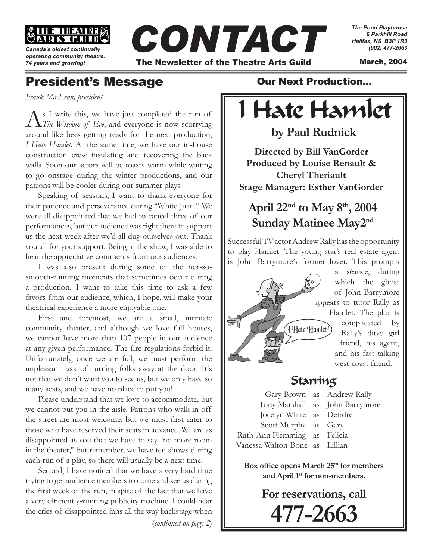E THEATRE

*Canada's oldest continually operating community theatre. 74 years and growing!*



*The Pond Playhouse 6 Parkhill Road Halifax, NS B3P 1R3 (902) 477-2663*

March, 2004

## President's Message

*Frank MacLean, president*

As I write this, we have just completed the run of *The Wisdom of Eve*, and everyone is now scurrying around like bees getting ready for the next production, *I Hate Hamlet*. At the same time, we have our in-house construction crew insulating and recovering the back walls. Soon our actors will be toasty warm while waiting to go onstage during the winter productions, and our patrons will be cooler during our summer plays.

Speaking of seasons, I want to thank everyone for their patience and perseverance during "White Juan." We were all disappointed that we had to cancel three of our performances, but our audience was right there to support us the next week after we'd all dug ourselves out. Thank you all for your support. Being in the show, I was able to hear the appreciative comments from our audiences.

I was also present during some of the not-sosmooth-running moments that sometimes occur during a production. I want to take this time to ask a few favors from our audience, which, I hope, will make your theatrical experience a more enjoyable one.

First and foremost, we are a small, intimate community theater, and although we love full houses, we cannot have more than 107 people in our audience at any given performance. The fire regulations forbid it. Unfortunately, once we are full, we must perform the unpleasant task of turning folks away at the door. It's not that we don't want you to see us, but we only have so many seats, and we have no place to put you!

Please understand that we love to accommodate, but we cannot put you in the aisle. Patrons who walk in off the street are most welcome, but we must first cater to those who have reserved their seats in advance. We are as disappointed as you that we have to say "no more room in the theater," but remember, we have ten shows during each run of a play, so there will usually be a next time.

Second, I have noticed that we have a very hard time trying to get audience members to come and see us during the first week of the run, in spite of the fact that we have a very efficiently-running publicity machine. I could hear the cries of disappointed fans all the way backstage when

(*continued on page 2*)

### Our Next Production...

# I Hate Hamlet

### **by Paul Rudnick**

**Directed by Bill VanGorder Produced by Louise Renault & Cheryl Theriault Stage Manager: Esther VanGorder**

# **April 22nd to May 8 to May nd th, 2004 Sunday Matinee May2nd**

Successful TV actor Andrew Rally has the opportunity to play Hamlet. The young star's real estate agent is John Barrymore's former lover. This prompts



a séance, during which the ghost of John Barrymore appears to tutor Rally as Hamlet. The plot is complicated by Rally's ditzy girl friend, his agent, and his fast talking west-coast friend.

# Starring

Gary Brown as Andrew Rally Tony Marshall as John Barrymore Jocelyn White as Deirdre Scott Murphy as Gary Ruth-Ann Flemming as Felicia Vanessa Walton-Bone as Lillian

Box office opens March 25<sup>th</sup> for members and April 1<sup>st</sup> for non-members.

> **477-2663 For reservations, call**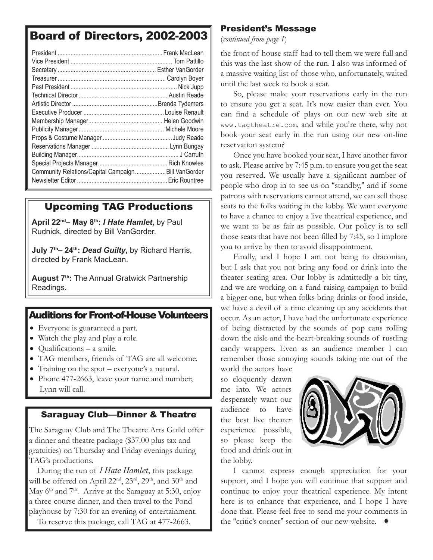### Board of Directors, 2002-2003

| Community Relations/Capital Campaign Bill VanGorder |  |
|-----------------------------------------------------|--|
|                                                     |  |

### Upcoming TAG Productions

**April 22nd– May 8th:** *I Hate Hamlet***,** by Paul Rudnick, directed by Bill VanGorder.

**July 7th– 24th:** *Dead Guilty***,** by Richard Harris, directed by Frank MacLean.

August 7<sup>th</sup>: The Annual Gratwick Partnership Readings.

#### Auditions for Front-of-House Volunteers

- Everyone is guaranteed a part.
- Watch the play and play a role.
- Qualifications  $-$  a smile.
- TAG members, friends of TAG are all welcome.
- Training on the spot everyone's a natural.
- Phone 477-2663, leave your name and number; Lynn will call.

#### Saraguay Club—Dinner & Theatre

The Saraguay Club and The Theatre Arts Guild offer a dinner and theatre package (\$37.00 plus tax and gratuities) on Thursday and Friday evenings during TAG's productions.

During the run of *I Hate Hamlet*, this package will be offered on April 22<sup>nd</sup>, 23<sup>rd</sup>, 29<sup>th</sup>, and 30<sup>th</sup> and May  $6<sup>th</sup>$  and  $7<sup>th</sup>$ . Arrive at the Saraguay at 5:30, enjoy a three-course dinner, and then travel to the Pond playhouse by 7:30 for an evening of entertainment.

To reserve this package, call TAG at 477-2663.

#### President's Message

(*continued from page 1*)

the front of house staff had to tell them we were full and this was the last show of the run. I also was informed of a massive waiting list of those who, unfortunately, waited until the last week to book a seat.

So, please make your reservations early in the run to ensure you get a seat. It's now easier than ever. You can find a schedule of plays on our new web site at www.tagtheatre.com, and while you're there, why not book your seat early in the run using our new on-line reservation system?

Once you have booked your seat, I have another favor to ask. Please arrive by 7:45 p.m. to ensure you get the seat you reserved. We usually have a significant number of people who drop in to see us on "standby," and if some patrons with reservations cannot attend, we can sell those seats to the folks waiting in the lobby. We want everyone to have a chance to enjoy a live theatrical experience, and we want to be as fair as possible. Our policy is to sell those seats that have not been filled by 7:45, so I implore you to arrive by then to avoid disappointment.

Finally, and I hope I am not being to draconian, but I ask that you not bring any food or drink into the theater seating area. Our lobby is admittedly a bit tiny, and we are working on a fund-raising campaign to build a bigger one, but when folks bring drinks or food inside, we have a devil of a time cleaning up any accidents that occur. As an actor, I have had the unfortunate experience of being distracted by the sounds of pop cans rolling down the aisle and the heart-breaking sounds of rustling candy wrappers. Even as an audience member I can remember those annoying sounds taking me out of the

world the actors have so eloquently drawn me into. We actors desperately want our audience to have the best live theater experience possible, so please keep the food and drink out in the lobby.



I cannot express enough appreciation for your support, and I hope you will continue that support and continue to enjoy your theatrical experience. My intent here is to enhance that experience, and I hope I have done that. Please feel free to send me your comments in the "critic's corner" section of our new website.  $\ast$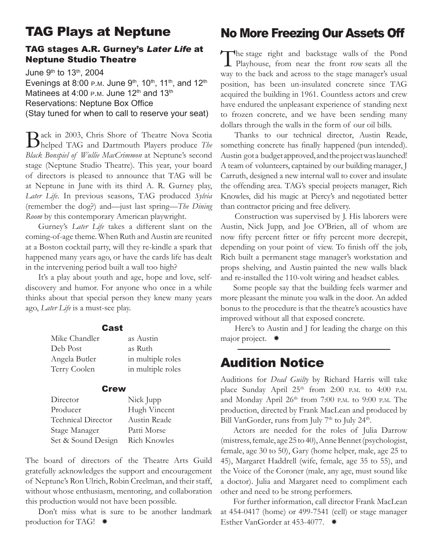### TAG Plays at Neptune

#### TAG stages A.R. Gurney's *Later Life* at Neptune Studio Theatre

June 9<sup>th</sup> to 13<sup>th</sup>, 2004 Evenings at 8:00 P.M. June  $9^{th}$ , 10<sup>th</sup>, 11<sup>th</sup>, and 12<sup>th</sup> Matinees at 4:00 P.M. June 12<sup>th</sup> and 13<sup>th</sup> Reservations: Neptune Box Office (Stay tuned for when to call to reserve your seat)

Back in 2003, Chris Shore of Theatre Nova Scotia helped TAG and Dartmouth Players produce *The Black Bonspiel of Wullie MacCrimmon* at Neptune's second stage (Neptune Studio Theatre). This year, your board of directors is pleased to announce that TAG will be at Neptune in June with its third A. R. Gurney play, *Later Life*. In previous seasons, TAG produced *Sylvia* (remember the dog?) and—just last spring—*The Dining*  Room by this contemporary American playwright.

Gurney's *Later Life* takes a different slant on the coming-of-age theme. When Ruth and Austin are reunited at a Boston cocktail party, will they re-kindle a spark that happened many years ago, or have the cards life has dealt in the intervening period built a wall too high?

It's a play about youth and age, hope and love, selfdiscovery and humor. For anyone who once in a while thinks about that special person they knew many years ago, *Later Life* is a must-see play.

#### Cast

| Mike Chandler | as Austin         |
|---------------|-------------------|
| Deb Post      | as Ruth           |
| Angela Butler | in multiple roles |
| Terry Coolen  | in multiple roles |

#### **Crew**

| Director                  | Nick Jupp           |
|---------------------------|---------------------|
| Producer                  | Hugh Vincent        |
| <b>Technical Director</b> | Austin Reade        |
| Stage Manager             | Patti Morse         |
| Set & Sound Design        | <b>Rich Knowles</b> |

The board of directors of the Theatre Arts Guild gratefully acknowledges the support and encouragement of Neptune's Ron Ulrich, Robin Creelman, and their staff, without whose enthusiasm, mentoring, and collaboration this production would not have been possible.

Don't miss what is sure to be another landmark production for TAG!  $*$ 

### No More Freezing Our Assets Off

The stage right and backstage walls of the Pond Playhouse, from near the front row seats all the way to the back and across to the stage manager's usual position, has been un-insulated concrete since TAG acquired the building in 1961. Countless actors and crew have endured the unpleasant experience of standing next to frozen concrete, and we have been sending many dollars through the walls in the form of our oil bills.

Thanks to our technical director, Austin Reade, something concrete has finally happened (pun intended). Austin got a budget approved, and the project was launched! A team of volunteers, captained by our building manager, J Carruth, designed a new internal wall to cover and insulate the offending area. TAG's special projects manager, Rich Knowles, did his magic at Piercy's and negotiated better than contractor pricing and free delivery.

Construction was supervised by J. His laborers were Austin, Nick Jupp, and Joe O'Brien, all of whom are now fifty percent fitter or fifty percent more decrepit, depending on your point of view. To finish off the job, Rich built a permanent stage manager's workstation and props shelving, and Austin painted the new walls black and re-installed the 110-volt wiring and headset cables.

Some people say that the building feels warmer and more pleasant the minute you walk in the door. An added bonus to the procedure is that the theatre's acoustics have improved without all that exposed concrete.

Here's to Austin and J for leading the charge on this major project. \*

### Audition Notice

Auditions for *Dead Guilty* by Richard Harris will take place Sunday April  $25<sup>th</sup>$  from 2:00 P.M. to 4:00 P.M. and Monday April  $26<sup>th</sup>$  from 7:00 p.m. to 9:00 p.m. The production, directed by Frank MacLean and produced by Bill VanGorder, runs from July  $7<sup>th</sup>$  to July  $24<sup>th</sup>$ .

Actors are needed for the roles of Julia Darrow (mistress, female, age 25 to 40), Anne Bennet (psychologist, female, age 30 to 50), Gary (home helper, male, age 25 to 45), Margaret Haddrell (wife, female, age 35 to 55), and the Voice of the Coroner (male, any age, must sound like a doctor). Julia and Margaret need to compliment each other and need to be strong performers.

For further information, call director Frank MacLean at 454-0417 (home) or 499-7541 (cell) or stage manager Esther VanGorder at 453-4077. \*